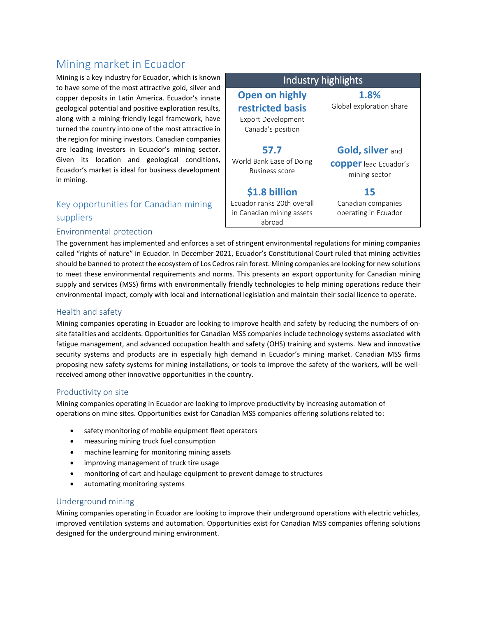# Mining market in Ecuador

Mining is a key industry for Ecuador, which is known to have some of the most attractive gold, silver and copper deposits in Latin America. Ecuador's innate geological potential and positive exploration results, along with a mining-friendly legal framework, have turned the country into one of the most attractive in the region for mining investors. Canadian companies are leading investors in Ecuador's mining sector. Given its location and geological conditions, Ecuador's market is ideal for business development in mining.

# Key opportunities for Canadian mining suppliers

#### Environmental protection

Industry highlights **Open on highly restricted basis** Export Development Canada's position **1.8%** Global exploration share **57.7** World Bank Ease of Doing Business score **Gold, silver** and **copper**lead Ecuador's mining sector **\$1.8 billion** Ecuador ranks 20th overall in Canadian mining assets abroad **15** Canadian companies operating in Ecuador

The government has implemented and enforces a set of stringent environmental regulations for mining companies called "rights of nature" in Ecuador. In December 2021, Ecuador's Constitutional Court ruled that mining activities should be banned to protect the ecosystem of Los Cedros rain forest. Mining companies are looking for new solutions to meet these environmental requirements and norms. This presents an export opportunity for Canadian mining supply and services (MSS) firms with environmentally friendly technologies to help mining operations reduce their environmental impact, comply with local and international legislation and maintain their social licence to operate.

#### Health and safety

Mining companies operating in Ecuador are looking to improve health and safety by reducing the numbers of onsite fatalities and accidents. Opportunities for Canadian MSS companies include technology systems associated with fatigue management, and advanced occupation health and safety (OHS) training and systems. New and innovative security systems and products are in especially high demand in Ecuador's mining market. Canadian MSS firms proposing new safety systems for mining installations, or tools to improve the safety of the workers, will be wellreceived among other innovative opportunities in the country.

#### Productivity on site

Mining companies operating in Ecuador are looking to improve productivity by increasing automation of operations on mine sites. Opportunities exist for Canadian MSS companies offering solutions related to:

- safety monitoring of mobile equipment fleet operators
- measuring mining truck fuel consumption
- machine learning for monitoring mining assets
- improving management of truck tire usage
- monitoring of cart and haulage equipment to prevent damage to structures
- automating monitoring systems

#### Underground mining

Mining companies operating in Ecuador are looking to improve their underground operations with electric vehicles, improved ventilation systems and automation. Opportunities exist for Canadian MSS companies offering solutions designed for the underground mining environment.